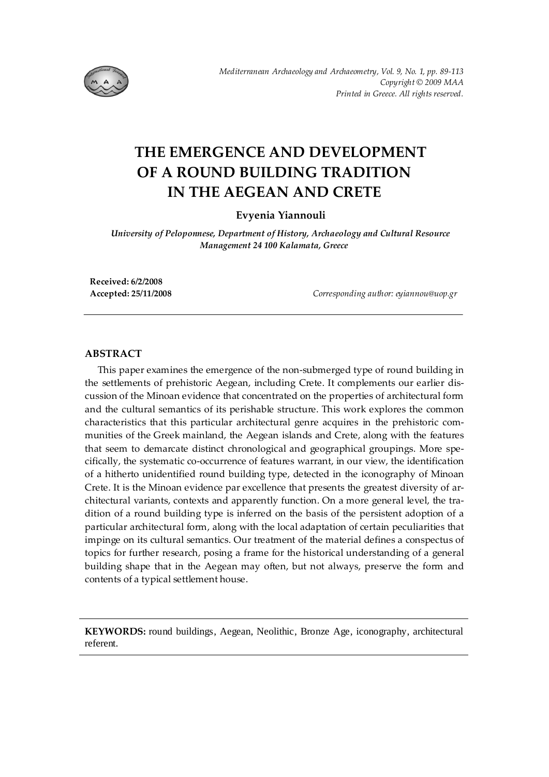

# **THE EMERGENCE AND DEVELOPMENT OF A ROUND BUILDING TRADITION IN THE AEGEAN AND CRETE**

# **Evyenia Yiannouli**

*University of Peloponnese, Department of History, Archaeology and Cultural Resource Management 24 100 Kalamata, Greece* 

**Received: 6/2/2008** 

**Accepted: 25/11/2008** *Corresponding author: eyiannou@uop.gr* 

#### **ABSTRACT**

This paper examines the emergence of the non-submerged type of round building in the settlements of prehistoric Aegean, including Crete. It complements our earlier discussion of the Minoan evidence that concentrated on the properties of architectural form and the cultural semantics of its perishable structure. This work explores the common characteristics that this particular architectural genre acquires in the prehistoric communities of the Greek mainland, the Aegean islands and Crete, along with the features that seem to demarcate distinct chronological and geographical groupings. More specifically, the systematic co-occurrence of features warrant, in our view, the identification of a hitherto unidentified round building type, detected in the iconography of Minoan Crete. It is the Minoan evidence par excellence that presents the greatest diversity of architectural variants, contexts and apparently function. On a more general level, the tradition of a round building type is inferred on the basis of the persistent adoption of a particular architectural form, along with the local adaptation of certain peculiarities that impinge on its cultural semantics. Our treatment of the material defines a conspectus of topics for further research, posing a frame for the historical understanding of a general building shape that in the Aegean may often, but not always, preserve the form and contents of a typical settlement house.

**KEYWORDS:** round buildings, Aegean, Neolithic, Bronze Age, iconography, architectural referent.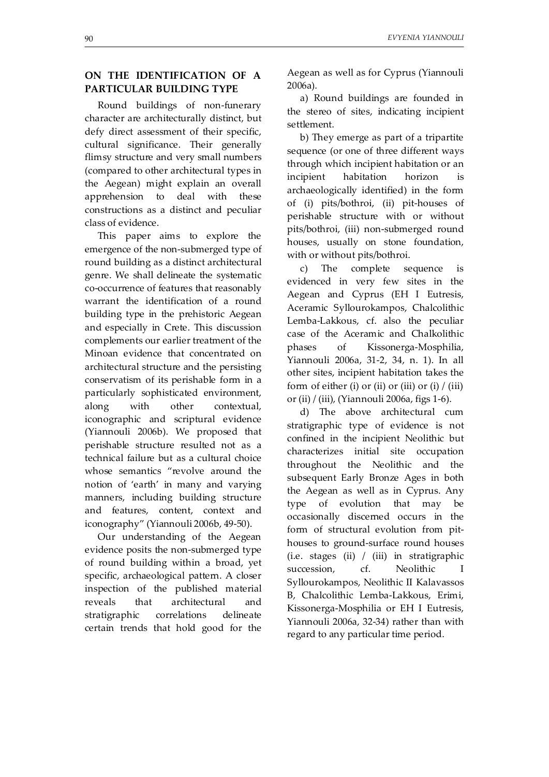### **ON THE IDENTIFICATION OF A PARTICULAR BUILDING TYPE**

Round buildings of non-funerary character are architecturally distinct, but defy direct assessment of their specific, cultural significance. Their generally flimsy structure and very small numbers (compared to other architectural types in the Aegean) might explain an overall apprehension to deal with these constructions as a distinct and peculiar class of evidence.

This paper aims to explore the emergence of the non-submerged type of round building as a distinct architectural genre. We shall delineate the systematic co-occurrence of features that reasonably warrant the identification of a round building type in the prehistoric Aegean and especially in Crete. This discussion complements our earlier treatment of the Minoan evidence that concentrated on architectural structure and the persisting conservatism of its perishable form in a particularly sophisticated environment, along with other contextual, iconographic and scriptural evidence (Yiannouli 2006b). We proposed that perishable structure resulted not as a technical failure but as a cultural choice whose semantics "revolve around the notion of 'earth' in many and varying manners, including building structure and features, content, context and iconography" (Yiannouli 2006b, 49-50).

Our understanding of the Aegean evidence posits the non-submerged type of round building within a broad, yet specific, archaeological pattern. A closer inspection of the published material reveals that architectural and stratigraphic correlations delineate certain trends that hold good for the Aegean as well as for Cyprus (Yiannouli 2006a).

a) Round buildings are founded in the stereo of sites, indicating incipient settlement.

b) They emerge as part of a tripartite sequence (or one of three different ways through which incipient habitation or an incipient habitation horizon is archaeologically identified) in the form of (i) pits/bothroi, (ii) pit-houses of perishable structure with or without pits/bothroi, (iii) non-submerged round houses, usually on stone foundation, with or without pits/bothroi.

c) The complete sequence is evidenced in very few sites in the Aegean and Cyprus (EH I Eutresis, Aceramic Syllourokampos, Chalcolithic Lemba-Lakkous, cf. also the peculiar case of the Aceramic and Chalkolithic phases of Kissonerga-Mosphilia, Yiannouli 2006a, 31-2, 34, n. 1). In all other sites, incipient habitation takes the form of either (i) or (ii) or (iii) or (i)  $/$  (iii) or (ii) / (iii), (Yiannouli 2006a, figs 1-6).

d) The above architectural cum stratigraphic type of evidence is not confined in the incipient Neolithic but characterizes initial site occupation throughout the Neolithic and the subsequent Early Bronze Ages in both the Aegean as well as in Cyprus. Any type of evolution that may be occasionally discerned occurs in the form of structural evolution from pithouses to ground-surface round houses (i.e. stages (ii) / (iii) in stratigraphic succession, cf. Neolithic Syllourokampos, Neolithic II Kalavassos B, Chalcolithic Lemba-Lakkous, Erimi, Kissonerga-Mosphilia or EH I Eutresis, Yiannouli 2006a, 32-34) rather than with regard to any particular time period.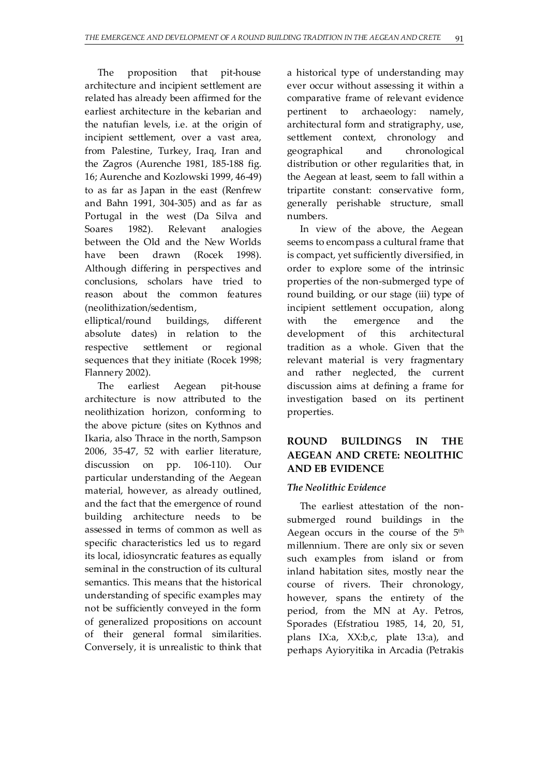The proposition that pit-house architecture and incipient settlement are related has already been affirmed for the earliest architecture in the kebarian and the natufian levels, i.e. at the origin of incipient settlement, over a vast area, from Palestine, Turkey, Iraq, Iran and the Zagros (Aurenche 1981, 185-188 fig. 16; Aurenche and Kozlowski 1999, 46-49) to as far as Japan in the east (Renfrew and Bahn 1991, 304-305) and as far as Portugal in the west (Da Silva and Soares 1982). Relevant analogies between the Old and the New Worlds have been drawn (Rocek 1998). Although differing in perspectives and conclusions, scholars have tried to reason about the common features (neolithization/sedentism,

elliptical/round buildings, different absolute dates) in relation to the respective settlement or regional sequences that they initiate (Rocek 1998; Flannery 2002).

The earliest Aegean pit-house architecture is now attributed to the neolithization horizon, conforming to the above picture (sites on Kythnos and Ikaria, also Thrace in the north, Sampson 2006, 35-47, 52 with earlier literature, discussion on pp. 106-110). Our particular understanding of the Aegean material, however, as already outlined, and the fact that the emergence of round building architecture needs to be assessed in terms of common as well as specific characteristics led us to regard its local, idiosyncratic features as equally seminal in the construction of its cultural semantics. This means that the historical understanding of specific examples may not be sufficiently conveyed in the form of generalized propositions on account of their general formal similarities. Conversely, it is unrealistic to think that

a historical type of understanding may ever occur without assessing it within a comparative frame of relevant evidence pertinent to archaeology: namely, architectural form and stratigraphy, use, settlement context, chronology and geographical and chronological distribution or other regularities that, in the Aegean at least, seem to fall within a tripartite constant: conservative form, generally perishable structure, small numbers.

In view of the above, the Aegean seems to encompass a cultural frame that is compact, yet sufficiently diversified, in order to explore some of the intrinsic properties of the non-submerged type of round building, or our stage (iii) type of incipient settlement occupation, along with the emergence and the development of this architectural tradition as a whole. Given that the relevant material is very fragmentary and rather neglected, the current discussion aims at defining a frame for investigation based on its pertinent properties.

# **ROUND BUILDINGS IN THE AEGEAN AND CRETE: NEOLITHIC AND EB EVIDENCE**

# *The Neolithic Evidence*

The earliest attestation of the nonsubmerged round buildings in the Aegean occurs in the course of the 5th millennium. There are only six or seven such examples from island or from inland habitation sites, mostly near the course of rivers. Their chronology, however, spans the entirety of the period, from the MN at Ay. Petros, Sporades (Efstratiou 1985, 14, 20, 51, plans IX:a, XX:b,c, plate 13:a), and perhaps Ayioryitika in Arcadia (Petrakis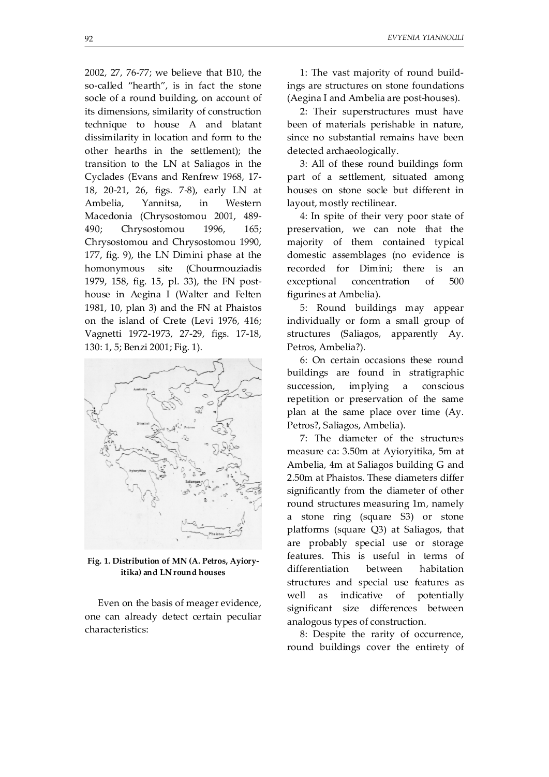2002, 27, 76-77; we believe that B10, the so-called "hearth", is in fact the stone socle of a round building, on account of its dimensions, similarity of construction technique to house A and blatant dissimilarity in location and form to the other hearths in the settlement); the transition to the LN at Saliagos in the Cyclades (Evans and Renfrew 1968, 17- 18, 20-21, 26, figs. 7-8), early LN at Ambelia, Yannitsa, in Western Macedonia (Chrysostomou 2001, 489- 490; Chrysostomou 1996, 165; Chrysostomou and Chrysostomou 1990, 177, fig. 9), the LN Dimini phase at the homonymous site (Chourmouziadis 1979, 158, fig. 15, pl. 33), the FN posthouse in Aegina I (Walter and Felten 1981, 10, plan 3) and the FN at Phaistos on the island of Crete (Levi 1976, 416; Vagnetti 1972-1973, 27-29, figs. 17-18, 130: 1, 5; Benzi 2001; Fig. 1).



**Fig. 1. Distribution of MN (A. Petros, Ayioryitika) and LN round houses** 

Even on the basis of meager evidence, one can already detect certain peculiar characteristics:

1: The vast majority of round buildings are structures on stone foundations (Aegina I and Ambelia are post-houses).

2: Their superstructures must have been of materials perishable in nature, since no substantial remains have been detected archaeologically.

3: All of these round buildings form part of a settlement, situated among houses on stone socle but different in layout, mostly rectilinear.

4: In spite of their very poor state of preservation, we can note that the majority of them contained typical domestic assemblages (no evidence is recorded for Dimini; there is an exceptional concentration of 500 figurines at Ambelia).

5: Round buildings may appear individually or form a small group of structures (Saliagos, apparently Ay. Petros, Ambelia?).

6: On certain occasions these round buildings are found in stratigraphic succession, implying a conscious repetition or preservation of the same plan at the same place over time (Ay. Petros?, Saliagos, Ambelia).

7: The diameter of the structures measure ca: 3.50m at Ayioryitika, 5m at Ambelia, 4m at Saliagos building G and 2.50m at Phaistos. These diameters differ significantly from the diameter of other round structures measuring 1m, namely a stone ring (square S3) or stone platforms (square Q3) at Saliagos, that are probably special use or storage features. This is useful in terms of differentiation between habitation structures and special use features as well as indicative of potentially significant size differences between analogous types of construction.

8: Despite the rarity of occurrence, round buildings cover the entirety of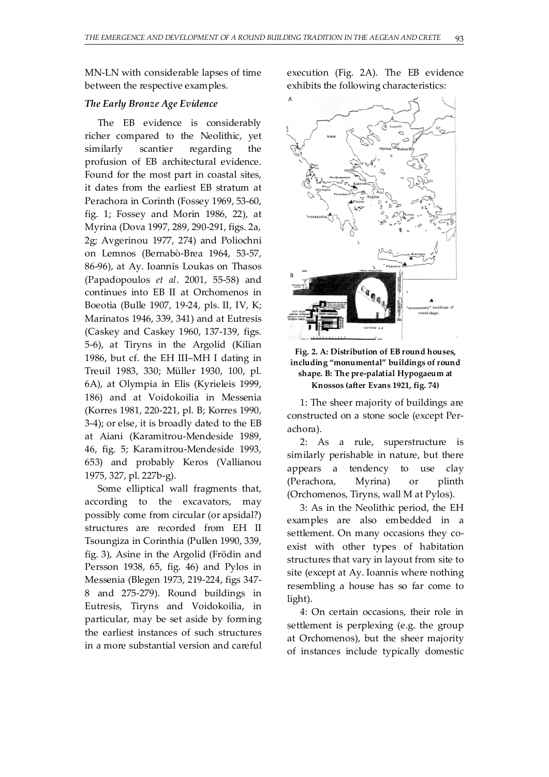MN-LN with considerable lapses of time between the respective examples.

#### *The Early Bronze Age Evidence*

The EB evidence is considerably richer compared to the Neolithic, yet similarly scantier regarding the profusion of EB architectural evidence. Found for the most part in coastal sites, it dates from the earliest EB stratum at Perachora in Corinth (Fossey 1969, 53-60, fig. 1; Fossey and Morin 1986, 22), at Myrina (Dova 1997, 289, 290-291, figs. 2a, 2g; Avgerinou 1977, 274) and Poliochni on Lemnos (Bernabò-Brea 1964, 53-57, 86-96), at Ay. Ioannis Loukas on Thasos (Papadopoulos *et al*. 2001, 55-58) and continues into EB II at Orchomenos in Boeotia (Bulle 1907, 19-24, pls. II, IV, K; Marinatos 1946, 339, 341) and at Eutresis (Caskey and Caskey 1960, 137-139, figs. 5-6), at Tiryns in the Argolid (Kilian 1986, but cf. the EH III–MH I dating in Treuil 1983, 330; Müller 1930, 100, pl. 6A), at Olympia in Elis (Kyrieleis 1999, 186) and at Voidokoilia in Messenia (Korres 1981, 220-221, pl. B; Korres 1990, 3-4); or else, it is broadly dated to the EB at Aiani (Karamitrou-Mendeside 1989, 46, fig. 5; Karamitrou-Mendeside 1993, 653) and probably Keros (Vallianou 1975, 327, pl. 227b-g).

Some elliptical wall fragments that, according to the excavators, may possibly come from circular (or apsidal?) structures are recorded from EH II Tsoungiza in Corinthia (Pullen 1990, 339, fig. 3), Asine in the Argolid (Frödin and Persson 1938, 65, fig. 46) and Pylos in Messenia (Blegen 1973, 219-224, figs 347- 8 and 275-279). Round buildings in Eutresis, Tiryns and Voidokoilia, in particular, may be set aside by forming the earliest instances of such structures in a more substantial version and careful execution (Fig. 2A). The EB evidence exhibits the following characteristics:



#### **Fig. 2. A: Distribution of EB round houses, including "monumental" buildings of round shape. B: The pre-palatial Hypogaeum at Knossos (after Evans 1921, fig. 74)**

1: The sheer majority of buildings are constructed on a stone socle (except Perachora).

2: As a rule, superstructure is similarly perishable in nature, but there appears a tendency to use clay (Perachora, Myrina) or plinth (Orchomenos, Tiryns, wall M at Pylos).

3: As in the Neolithic period, the EH examples are also embedded in a settlement. On many occasions they coexist with other types of habitation structures that vary in layout from site to site (except at Ay. Ioannis where nothing resembling a house has so far come to light).

4: On certain occasions, their role in settlement is perplexing (e.g. the group at Orchomenos), but the sheer majority of instances include typically domestic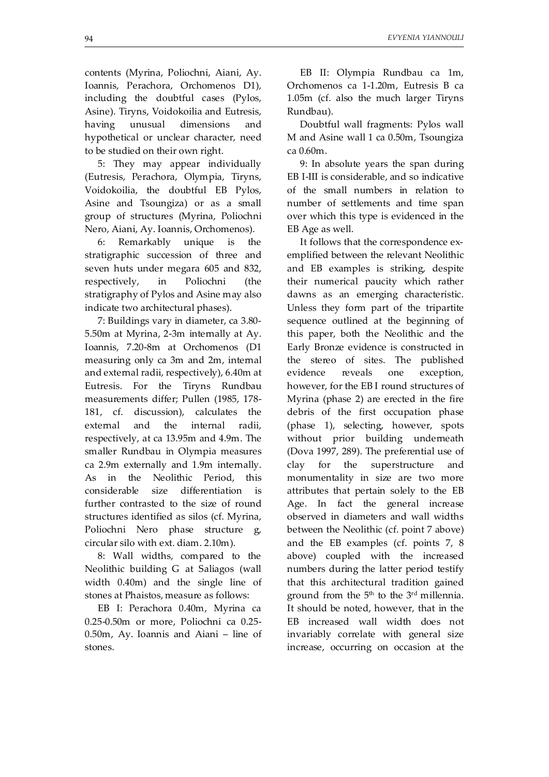contents (Myrina, Poliochni, Aiani, Ay. Ioannis, Perachora, Orchomenos D1), including the doubtful cases (Pylos, Asine). Tiryns, Voidokoilia and Eutresis, having unusual dimensions and hypothetical or unclear character, need to be studied on their own right.

5: They may appear individually (Eutresis, Perachora, Olympia, Tiryns, Voidokoilia, the doubtful EB Pylos, Asine and Tsoungiza) or as a small group of structures (Myrina, Poliochni Nero, Aiani, Ay. Ioannis, Orchomenos).

6: Remarkably unique is the stratigraphic succession of three and seven huts under megara 605 and 832, respectively, in Poliochni (the stratigraphy of Pylos and Asine may also indicate two architectural phases).

7: Buildings vary in diameter, ca 3.80- 5.50m at Myrina, 2-3m internally at Ay. Ioannis, 7.20-8m at Orchomenos (D1 measuring only ca 3m and 2m, internal and external radii, respectively), 6.40m at Eutresis. For the Tiryns Rundbau measurements differ; Pullen (1985, 178- 181, cf. discussion), calculates the external and the internal radii, respectively, at ca 13.95m and 4.9m. The smaller Rundbau in Olympia measures ca 2.9m externally and 1.9m internally. As in the Neolithic Period, this considerable size differentiation is further contrasted to the size of round structures identified as silos (cf. Myrina, Poliochni Nero phase structure g, circular silo with ext. diam. 2.10m).

8: Wall widths, compared to the Neolithic building G at Saliagos (wall width 0.40m) and the single line of stones at Phaistos, measure as follows:

EB I: Perachora 0.40m, Myrina ca 0.25-0.50m or more, Poliochni ca 0.25- 0.50m, Ay. Ioannis and Aiani – line of stones.

EB II: Olympia Rundbau ca 1m, Orchomenos ca 1-1.20m, Eutresis B ca 1.05m (cf. also the much larger Tiryns Rundbau).

Doubtful wall fragments: Pylos wall M and Asine wall 1 ca 0.50m, Tsoungiza ca 0.60m.

9: In absolute years the span during EB I-III is considerable, and so indicative of the small numbers in relation to number of settlements and time span over which this type is evidenced in the EB Age as well.

It follows that the correspondence exemplified between the relevant Neolithic and EB examples is striking, despite their numerical paucity which rather dawns as an emerging characteristic. Unless they form part of the tripartite sequence outlined at the beginning of this paper, both the Neolithic and the Early Bronze evidence is constructed in the stereo of sites. The published evidence reveals one exception, however, for the EB I round structures of Myrina (phase 2) are erected in the fire debris of the first occupation phase (phase 1), selecting, however, spots without prior building underneath (Dova 1997, 289). The preferential use of clay for the superstructure and monumentality in size are two more attributes that pertain solely to the EB Age. In fact the general increase observed in diameters and wall widths between the Neolithic (cf. point 7 above) and the EB examples (cf. points 7, 8 above) coupled with the increased numbers during the latter period testify that this architectural tradition gained ground from the  $5<sup>th</sup>$  to the  $3<sup>rd</sup>$  millennia. It should be noted, however, that in the EB increased wall width does not invariably correlate with general size increase, occurring on occasion at the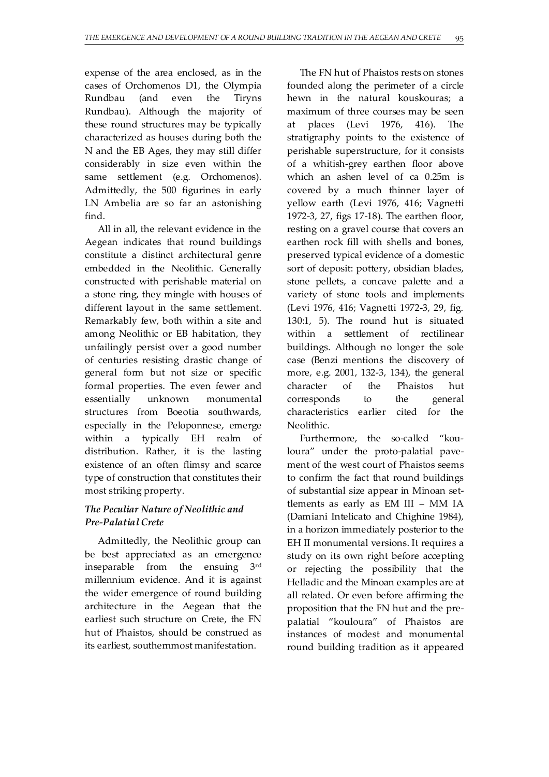expense of the area enclosed, as in the cases of Orchomenos D1, the Olympia Rundbau (and even the Tiryns Rundbau). Although the majority of these round structures may be typically characterized as houses during both the N and the EB Ages, they may still differ considerably in size even within the same settlement (e.g. Orchomenos). Admittedly, the 500 figurines in early LN Ambelia are so far an astonishing find.

All in all, the relevant evidence in the Aegean indicates that round buildings constitute a distinct architectural genre embedded in the Neolithic. Generally constructed with perishable material on a stone ring, they mingle with houses of different layout in the same settlement. Remarkably few, both within a site and among Neolithic or EB habitation, they unfailingly persist over a good number of centuries resisting drastic change of general form but not size or specific formal properties. The even fewer and essentially unknown monumental structures from Boeotia southwards, especially in the Peloponnese, emerge within a typically EH realm of distribution. Rather, it is the lasting existence of an often flimsy and scarce type of construction that constitutes their most striking property.

# *The Peculiar Nature of Neolithic and Pre-Palatial Crete*

Admittedly, the Neolithic group can be best appreciated as an emergence inseparable from the ensuing 3rd millennium evidence. And it is against the wider emergence of round building architecture in the Aegean that the earliest such structure on Crete, the FN hut of Phaistos, should be construed as its earliest, southernmost manifestation.

The FN hut of Phaistos rests on stones founded along the perimeter of a circle hewn in the natural kouskouras; a maximum of three courses may be seen at places (Levi 1976, 416). The stratigraphy points to the existence of perishable superstructure, for it consists of a whitish-grey earthen floor above which an ashen level of ca 0.25m is covered by a much thinner layer of yellow earth (Levi 1976, 416; Vagnetti 1972-3, 27, figs 17-18). The earthen floor, resting on a gravel course that covers an earthen rock fill with shells and bones, preserved typical evidence of a domestic sort of deposit: pottery, obsidian blades, stone pellets, a concave palette and a variety of stone tools and implements (Levi 1976, 416; Vagnetti 1972-3, 29, fig. 130:1, 5). The round hut is situated within a settlement of rectilinear buildings. Although no longer the sole case (Benzi mentions the discovery of more, e.g. 2001, 132-3, 134), the general character of the Phaistos hut corresponds to the general characteristics earlier cited for the Neolithic.

Furthermore, the so-called "kouloura" under the proto-palatial pavement of the west court of Phaistos seems to confirm the fact that round buildings of substantial size appear in Minoan settlements as early as EM III – MM IA (Damiani Intelicato and Chighine 1984), in a horizon immediately posterior to the EH II monumental versions. It requires a study on its own right before accepting or rejecting the possibility that the Helladic and the Minoan examples are at all related. Or even before affirming the proposition that the FN hut and the prepalatial "kouloura" of Phaistos are instances of modest and monumental round building tradition as it appeared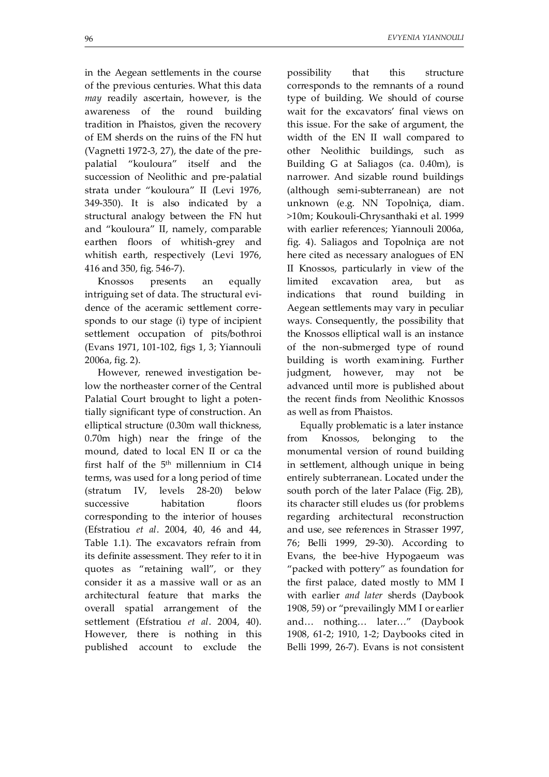in the Aegean settlements in the course of the previous centuries. What this data *may* readily ascertain, however, is the awareness of the round building tradition in Phaistos, given the recovery of EM sherds on the ruins of the FN hut (Vagnetti 1972-3, 27), the date of the prepalatial "kouloura" itself and the succession of Neolithic and pre-palatial strata under "kouloura" II (Levi 1976, 349-350). It is also indicated by a structural analogy between the FN hut and "kouloura" II, namely, comparable earthen floors of whitish-grey and whitish earth, respectively (Levi 1976, 416 and 350, fig. 546-7).

Knossos presents an equally intriguing set of data. The structural evidence of the aceramic settlement corresponds to our stage (i) type of incipient settlement occupation of pits/bothroi (Evans 1971, 101-102, figs 1, 3; Yiannouli 2006a, fig. 2).

However, renewed investigation below the northeaster corner of the Central Palatial Court brought to light a potentially significant type of construction. An elliptical structure (0.30m wall thickness, 0.70m high) near the fringe of the mound, dated to local EN II or ca the first half of the 5th millennium in C14 terms, was used for a long period of time (stratum IV, levels 28-20) below successive habitation floors corresponding to the interior of houses (Efstratiou *et al*. 2004, 40, 46 and 44, Table 1.1). The excavators refrain from its definite assessment. They refer to it in quotes as "retaining wall", or they consider it as a massive wall or as an architectural feature that marks the overall spatial arrangement of the settlement (Efstratiou *et al*. 2004, 40). However, there is nothing in this published account to exclude the

possibility that this structure corresponds to the remnants of a round type of building. We should of course wait for the excavators' final views on this issue. For the sake of argument, the width of the EN II wall compared to other Neolithic buildings, such as Building G at Saliagos (ca. 0.40m), is narrower. And sizable round buildings (although semi-subterranean) are not unknown (e.g. NN Topolniça, diam. >10m; Koukouli-Chrysanthaki et al. 1999 with earlier references; Yiannouli 2006a, fig. 4). Saliagos and Topolniça are not here cited as necessary analogues of EN II Knossos, particularly in view of the limited excavation area, but as indications that round building in Aegean settlements may vary in peculiar ways. Consequently, the possibility that the Knossos elliptical wall is an instance of the non-submerged type of round building is worth examining. Further judgment, however, may not be advanced until more is published about the recent finds from Neolithic Knossos as well as from Phaistos.

Equally problematic is a later instance from Knossos, belonging to the monumental version of round building in settlement, although unique in being entirely subterranean. Located under the south porch of the later Palace (Fig. 2B), its character still eludes us (for problems regarding architectural reconstruction and use, see references in Strasser 1997, 76; Belli 1999, 29-30). According to Evans, the bee-hive Hypogaeum was "packed with pottery" as foundation for the first palace, dated mostly to MM I with earlier *and later* sherds (Daybook 1908, 59) or "prevailingly MM I or earlier and… nothing… later…" (Daybook 1908, 61-2; 1910, 1-2; Daybooks cited in Belli 1999, 26-7). Evans is not consistent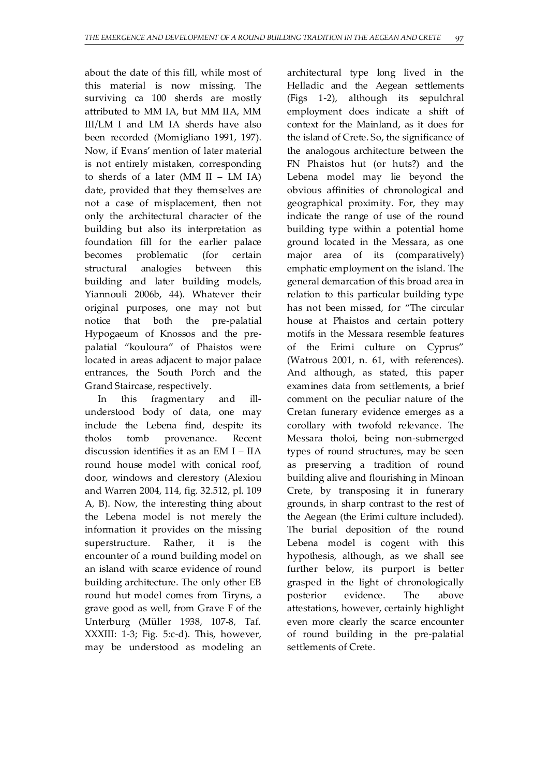about the date of this fill, while most of this material is now missing. The surviving ca 100 sherds are mostly attributed to MM IA, but MM IIA, MM III/LM I and LM IA sherds have also been recorded (Momigliano 1991, 197). Now, if Evans' mention of later material is not entirely mistaken, corresponding to sherds of a later (MM II – LM IA) date, provided that they themselves are not a case of misplacement, then not only the architectural character of the building but also its interpretation as foundation fill for the earlier palace becomes problematic (for certain structural analogies between this building and later building models, Yiannouli 2006b, 44). Whatever their original purposes, one may not but notice that both the pre-palatial Hypogaeum of Knossos and the prepalatial "kouloura" of Phaistos were located in areas adjacent to major palace entrances, the South Porch and the Grand Staircase, respectively.

In this fragmentary and illunderstood body of data, one may include the Lebena find, despite its tholos tomb provenance. Recent discussion identifies it as an EM I – IIA round house model with conical roof, door, windows and clerestory (Alexiou and Warren 2004, 114, fig. 32.512, pl. 109 A, B). Now, the interesting thing about the Lebena model is not merely the information it provides on the missing superstructure. Rather, it is the encounter of a round building model on an island with scarce evidence of round building architecture. The only other EB round hut model comes from Tiryns, a grave good as well, from Grave F of the Unterburg (Müller 1938, 107-8, Taf. XXXIII: 1-3; Fig. 5:c-d). This, however, may be understood as modeling an

architectural type long lived in the Helladic and the Aegean settlements (Figs 1-2), although its sepulchral employment does indicate a shift of context for the Mainland, as it does for the island of Crete. So, the significance of the analogous architecture between the FN Phaistos hut (or huts?) and the Lebena model may lie beyond the obvious affinities of chronological and geographical proximity. For, they may indicate the range of use of the round building type within a potential home ground located in the Messara, as one major area of its (comparatively) emphatic employment on the island. The general demarcation of this broad area in relation to this particular building type has not been missed, for "The circular house at Phaistos and certain pottery motifs in the Messara resemble features of the Erimi culture on Cyprus" (Watrous 2001, n. 61, with references). And although, as stated, this paper examines data from settlements, a brief comment on the peculiar nature of the Cretan funerary evidence emerges as a corollary with twofold relevance. The Messara tholoi, being non-submerged types of round structures, may be seen as preserving a tradition of round building alive and flourishing in Minoan Crete, by transposing it in funerary grounds, in sharp contrast to the rest of the Aegean (the Erimi culture included). The burial deposition of the round Lebena model is cogent with this hypothesis, although, as we shall see further below, its purport is better grasped in the light of chronologically posterior evidence. The above attestations, however, certainly highlight even more clearly the scarce encounter of round building in the pre-palatial settlements of Crete.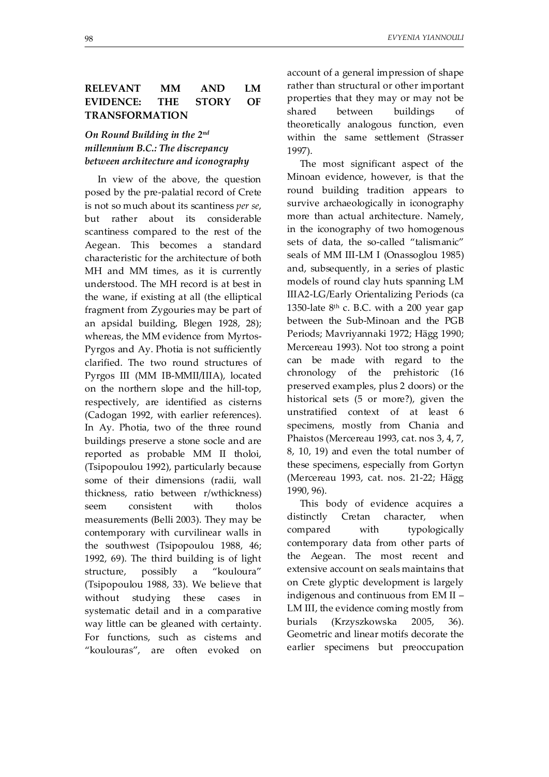# **RELEVANT MM AND LM EVIDENCE: THE STORY OF TRANSFORMATION**

# *On Round Building in the 2nd millennium B.C.: The discrepancy between architecture and iconography*

In view of the above, the question posed by the pre-palatial record of Crete is not so much about its scantiness *per se*, but rather about its considerable scantiness compared to the rest of the Aegean. This becomes a standard characteristic for the architecture of both MH and MM times, as it is currently understood. The MH record is at best in the wane, if existing at all (the elliptical fragment from Zygouries may be part of an apsidal building, Blegen 1928, 28); whereas, the MM evidence from Myrtos-Pyrgos and Ay. Photia is not sufficiently clarified. The two round structures of Pyrgos III (MM IB-MMII/IIIA), located on the northern slope and the hill-top, respectively, are identified as cisterns (Cadogan 1992, with earlier references). In Ay. Photia, two of the three round buildings preserve a stone socle and are reported as probable MM II tholoi, (Tsipopoulou 1992), particularly because some of their dimensions (radii, wall thickness, ratio between r/wthickness) seem consistent with tholos measurements (Belli 2003). They may be contemporary with curvilinear walls in the southwest (Tsipopoulou 1988, 46; 1992, 69). The third building is of light structure, possibly a "kouloura" (Tsipopoulou 1988, 33). We believe that without studying these cases in systematic detail and in a comparative way little can be gleaned with certainty. For functions, such as cisterns and "koulouras", are often evoked on account of a general impression of shape rather than structural or other important properties that they may or may not be shared between buildings of theoretically analogous function, even within the same settlement (Strasser 1997).

The most significant aspect of the Minoan evidence, however, is that the round building tradition appears to survive archaeologically in iconography more than actual architecture. Namely, in the iconography of two homogenous sets of data, the so-called "talismanic" seals of MM III-LM I (Onassoglou 1985) and, subsequently, in a series of plastic models of round clay huts spanning LM IIIA2-LG/Early Orientalizing Periods (ca 1350-late  $8<sup>th</sup>$  c. B.C. with a 200 year gap between the Sub-Minoan and the PGB Periods; Mavriyannaki 1972; Hägg 1990; Mercereau 1993). Not too strong a point can be made with regard to the chronology of the prehistoric (16 preserved examples, plus 2 doors) or the historical sets (5 or more?), given the unstratified context of at least 6 specimens, mostly from Chania and Phaistos (Mercereau 1993, cat. nos 3, 4, 7, 8, 10, 19) and even the total number of these specimens, especially from Gortyn (Mercereau 1993, cat. nos. 21-22; Hägg 1990, 96).

This body of evidence acquires a distinctly Cretan character, when compared with typologically contemporary data from other parts of the Aegean. The most recent and extensive account on seals maintains that on Crete glyptic development is largely indigenous and continuous from EM II – LM III, the evidence coming mostly from burials (Krzyszkowska 2005, 36). Geometric and linear motifs decorate the earlier specimens but preoccupation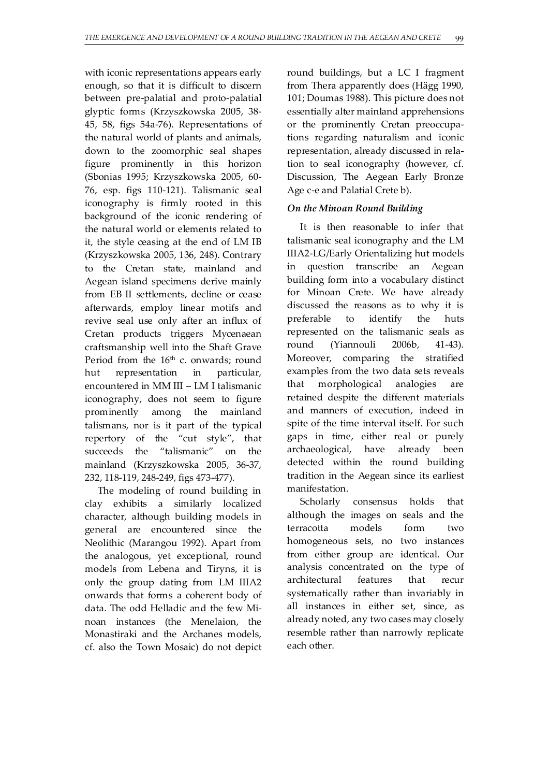with iconic representations appears early enough, so that it is difficult to discern between pre-palatial and proto-palatial glyptic forms (Krzyszkowska 2005, 38- 45, 58, figs 54a-76). Representations of the natural world of plants and animals, down to the zoomorphic seal shapes figure prominently in this horizon (Sbonias 1995; Krzyszkowska 2005, 60- 76, esp. figs 110-121). Talismanic seal iconography is firmly rooted in this background of the iconic rendering of the natural world or elements related to it, the style ceasing at the end of LM IB (Krzyszkowska 2005, 136, 248). Contrary to the Cretan state, mainland and Aegean island specimens derive mainly from EB II settlements, decline or cease afterwards, employ linear motifs and revive seal use only after an influx of Cretan products triggers Mycenaean craftsmanship well into the Shaft Grave Period from the 16<sup>th</sup> c. onwards; round hut representation in particular, encountered in MM III – LM I talismanic iconography, does not seem to figure prominently among the mainland talismans, nor is it part of the typical repertory of the "cut style", that succeeds the "talismanic" on the mainland (Krzyszkowska 2005, 36-37, 232, 118-119, 248-249, figs 473-477).

The modeling of round building in clay exhibits a similarly localized character, although building models in general are encountered since the Neolithic (Marangou 1992). Apart from the analogous, yet exceptional, round models from Lebena and Tiryns, it is only the group dating from LM IIIA2 onwards that forms a coherent body of data. The odd Helladic and the few Minoan instances (the Menelaion, the Monastiraki and the Archanes models, cf. also the Town Mosaic) do not depict round buildings, but a LC I fragment from Thera apparently does (Hägg 1990, 101; Doumas 1988). This picture does not essentially alter mainland apprehensions or the prominently Cretan preoccupations regarding naturalism and iconic representation, already discussed in relation to seal iconography (however, cf. Discussion, The Aegean Early Bronze Age c-e and Palatial Crete b).

#### *On the Minoan Round Building*

It is then reasonable to infer that talismanic seal iconography and the LM IIIA2-LG/Early Orientalizing hut models in question transcribe an Aegean building form into a vocabulary distinct for Minoan Crete. We have already discussed the reasons as to why it is preferable to identify the huts represented on the talismanic seals as round (Yiannouli 2006b, 41-43). Moreover, comparing the stratified examples from the two data sets reveals that morphological analogies are retained despite the different materials and manners of execution, indeed in spite of the time interval itself. For such gaps in time, either real or purely archaeological, have already been detected within the round building tradition in the Aegean since its earliest manifestation.

Scholarly consensus holds that although the images on seals and the terracotta models form two homogeneous sets, no two instances from either group are identical. Our analysis concentrated on the type of architectural features that recur systematically rather than invariably in all instances in either set, since, as already noted, any two cases may closely resemble rather than narrowly replicate each other.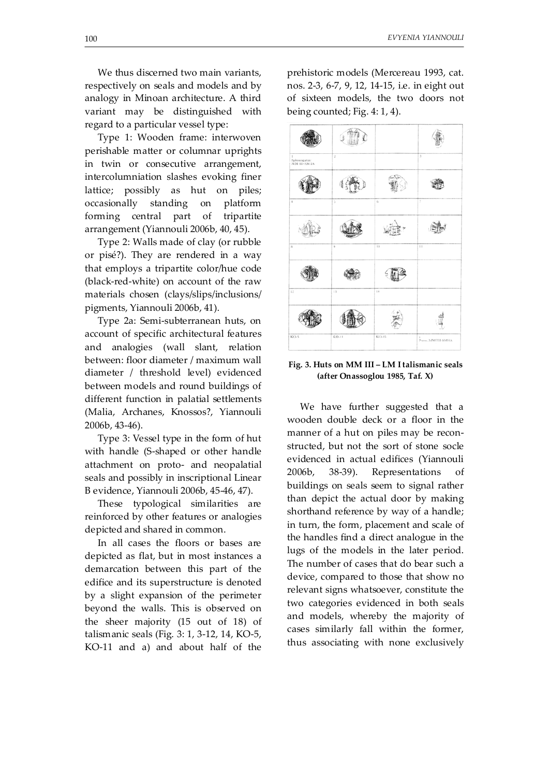We thus discerned two main variants, respectively on seals and models and by analogy in Minoan architecture. A third variant may be distinguished with regard to a particular vessel type:

Type 1: Wooden frame: interwoven perishable matter or columnar uprights in twin or consecutive arrangement, intercolumniation slashes evoking finer lattice; possibly as hut on piles; occasionally standing on platform forming central part of tripartite arrangement (Yiannouli 2006b, 40, 45).

Type 2: Walls made of clay (or rubble or pisé?). They are rendered in a way that employs a tripartite color/hue code (black-red-white) on account of the raw materials chosen (clays/slips/inclusions/ pigments, Yiannouli 2006b, 41).

Type 2a: Semi-subterranean huts, on account of specific architectural features and analogies (wall slant, relation between: floor diameter / maximum wall diameter / threshold level) evidenced between models and round buildings of different function in palatial settlements (Malia, Archanes, Knossos?, Yiannouli 2006b, 43-46).

Type 3: Vessel type in the form of hut with handle (S-shaped or other handle attachment on proto- and neopalatial seals and possibly in inscriptional Linear B evidence, Yiannouli 2006b, 45-46, 47).

These typological similarities are reinforced by other features or analogies depicted and shared in common.

In all cases the floors or bases are depicted as flat, but in most instances a demarcation between this part of the edifice and its superstructure is denoted by a slight expansion of the perimeter beyond the walls. This is observed on the sheer majority (15 out of 18) of talismanic seals (Fig. 3: 1, 3-12, 14, KO-5, KO-11 and a) and about half of the

prehistoric models (Mercereau 1993, cat. nos. 2-3, 6-7, 9, 12, 14-15, i.e. in eight out of sixteen models, the two doors not being counted; Fig. 4: 1, 4).

| I.<br>Sphoungaras:<br>MM HI-SM IA | $\bar{2}$ |        | $\,$ $\,$               |
|-----------------------------------|-----------|--------|-------------------------|
|                                   |           |        |                         |
| $\ddot{\eta}$                     | 5         | 6      | 7                       |
|                                   |           |        |                         |
| $\mathbf{a}$                      | 9         | $10 -$ | $\mathbb{I}$            |
|                                   |           |        |                         |
| 12                                | 13        | 14     |                         |
|                                   |           |        |                         |
| $KO-5$                            | $KO-11$   | KO-15  | a<br>Poros: MM HL-SM LA |

**Fig. 3. Huts on MM III – LM I talismanic seals (after Onassoglou 1985, Taf. X)** 

We have further suggested that a wooden double deck or a floor in the manner of a hut on piles may be reconstructed, but not the sort of stone socle evidenced in actual edifices (Yiannouli 2006b, 38-39). Representations of buildings on seals seem to signal rather than depict the actual door by making shorthand reference by way of a handle; in turn, the form, placement and scale of the handles find a direct analogue in the lugs of the models in the later period. The number of cases that do bear such a device, compared to those that show no relevant signs whatsoever, constitute the two categories evidenced in both seals and models, whereby the majority of cases similarly fall within the former, thus associating with none exclusively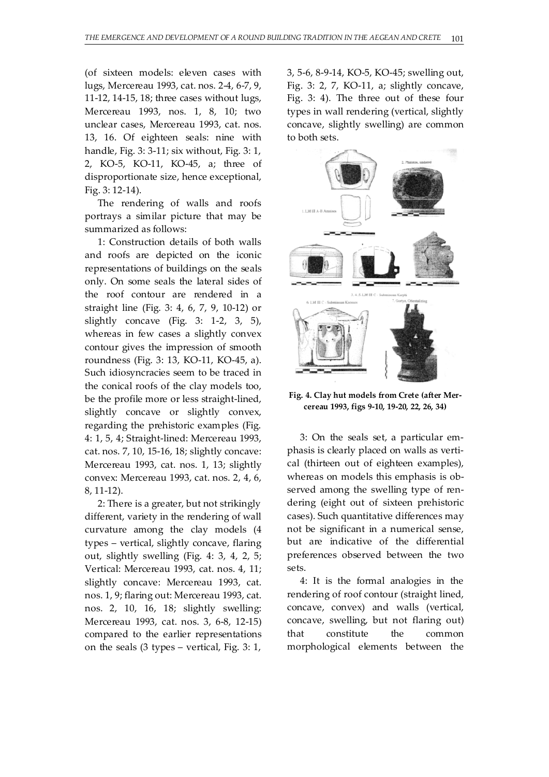(of sixteen models: eleven cases with lugs, Mercereau 1993, cat. nos. 2-4, 6-7, 9, 11-12, 14-15, 18; three cases without lugs, Mercereau 1993, nos. 1, 8, 10; two unclear cases, Mercereau 1993, cat. nos. 13, 16. Of eighteen seals: nine with handle, Fig. 3: 3-11; six without, Fig. 3: 1, 2, KO-5, KO-11, KO-45, a; three of disproportionate size, hence exceptional, Fig. 3: 12-14).

The rendering of walls and roofs portrays a similar picture that may be summarized as follows:

1: Construction details of both walls and roofs are depicted on the iconic representations of buildings on the seals only. On some seals the lateral sides of the roof contour are rendered in a straight line (Fig. 3: 4, 6, 7, 9, 10-12) or slightly concave (Fig. 3: 1-2, 3, 5), whereas in few cases a slightly convex contour gives the impression of smooth roundness (Fig. 3: 13, KO-11, KO-45, a). Such idiosyncracies seem to be traced in the conical roofs of the clay models too, be the profile more or less straight-lined, slightly concave or slightly convex, regarding the prehistoric examples (Fig. 4: 1, 5, 4; Straight-lined: Mercereau 1993, cat. nos. 7, 10, 15-16, 18; slightly concave: Mercereau 1993, cat. nos. 1, 13; slightly convex: Mercereau 1993, cat. nos. 2, 4, 6, 8, 11-12).

2: There is a greater, but not strikingly different, variety in the rendering of wall curvature among the clay models (4 types – vertical, slightly concave, flaring out, slightly swelling (Fig. 4: 3, 4, 2, 5; Vertical: Mercereau 1993, cat. nos. 4, 11; slightly concave: Mercereau 1993, cat. nos. 1, 9; flaring out: Mercereau 1993, cat. nos. 2, 10, 16, 18; slightly swelling: Mercereau 1993, cat. nos. 3, 6-8, 12-15) compared to the earlier representations on the seals (3 types – vertical, Fig. 3: 1,

3, 5-6, 8-9-14, KO-5, KO-45; swelling out, Fig. 3: 2, 7, KO-11, a; slightly concave, Fig. 3: 4). The three out of these four types in wall rendering (vertical, slightly concave, slightly swelling) are common to both sets.



**Fig. 4. Clay hut models from Crete (after Mercereau 1993, figs 9-10, 19-20, 22, 26, 34)** 

3: On the seals set, a particular emphasis is clearly placed on walls as vertical (thirteen out of eighteen examples), whereas on models this emphasis is observed among the swelling type of rendering (eight out of sixteen prehistoric cases). Such quantitative differences may not be significant in a numerical sense, but are indicative of the differential preferences observed between the two sets.

4: It is the formal analogies in the rendering of roof contour (straight lined, concave, convex) and walls (vertical, concave, swelling, but not flaring out) that constitute the common morphological elements between the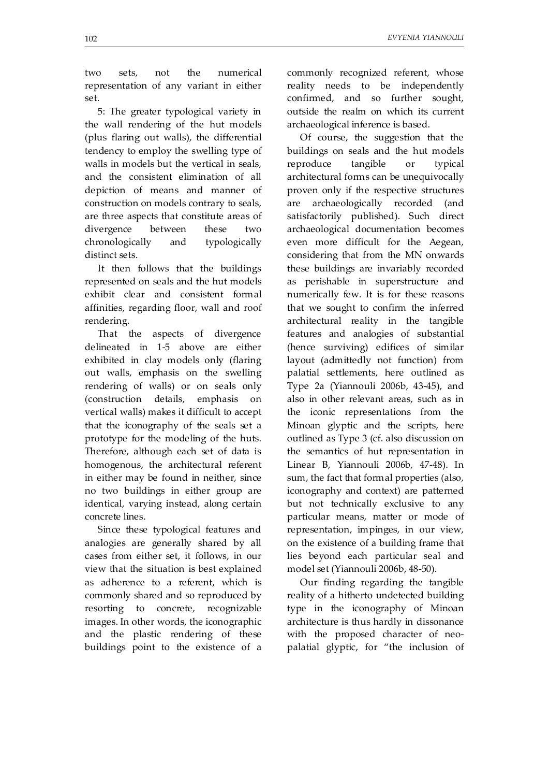set. 5: The greater typological variety in the wall rendering of the hut models (plus flaring out walls), the differential tendency to employ the swelling type of walls in models but the vertical in seals, and the consistent elimination of all depiction of means and manner of construction on models contrary to seals, are three aspects that constitute areas of divergence between these two chronologically and typologically distinct sets.

It then follows that the buildings represented on seals and the hut models exhibit clear and consistent formal affinities, regarding floor, wall and roof rendering.

That the aspects of divergence delineated in 1-5 above are either exhibited in clay models only (flaring out walls, emphasis on the swelling rendering of walls) or on seals only (construction details, emphasis on vertical walls) makes it difficult to accept that the iconography of the seals set a prototype for the modeling of the huts. Therefore, although each set of data is homogenous, the architectural referent in either may be found in neither, since no two buildings in either group are identical, varying instead, along certain concrete lines.

Since these typological features and analogies are generally shared by all cases from either set, it follows, in our view that the situation is best explained as adherence to a referent, which is commonly shared and so reproduced by resorting to concrete, recognizable images. In other words, the iconographic and the plastic rendering of these buildings point to the existence of a commonly recognized referent, whose reality needs to be independently confirmed, and so further sought, outside the realm on which its current archaeological inference is based.

Of course, the suggestion that the buildings on seals and the hut models reproduce tangible or typical architectural forms can be unequivocally proven only if the respective structures are archaeologically recorded (and satisfactorily published). Such direct archaeological documentation becomes even more difficult for the Aegean, considering that from the MN onwards these buildings are invariably recorded as perishable in superstructure and numerically few. It is for these reasons that we sought to confirm the inferred architectural reality in the tangible features and analogies of substantial (hence surviving) edifices of similar layout (admittedly not function) from palatial settlements, here outlined as Type 2a (Yiannouli 2006b, 43-45), and also in other relevant areas, such as in the iconic representations from the Minoan glyptic and the scripts, here outlined as Type 3 (cf. also discussion on the semantics of hut representation in Linear B, Yiannouli 2006b, 47-48). In sum, the fact that formal properties (also, iconography and context) are patterned but not technically exclusive to any particular means, matter or mode of representation, impinges, in our view, on the existence of a building frame that lies beyond each particular seal and model set (Yiannouli 2006b, 48-50).

Our finding regarding the tangible reality of a hitherto undetected building type in the iconography of Minoan architecture is thus hardly in dissonance with the proposed character of neopalatial glyptic, for "the inclusion of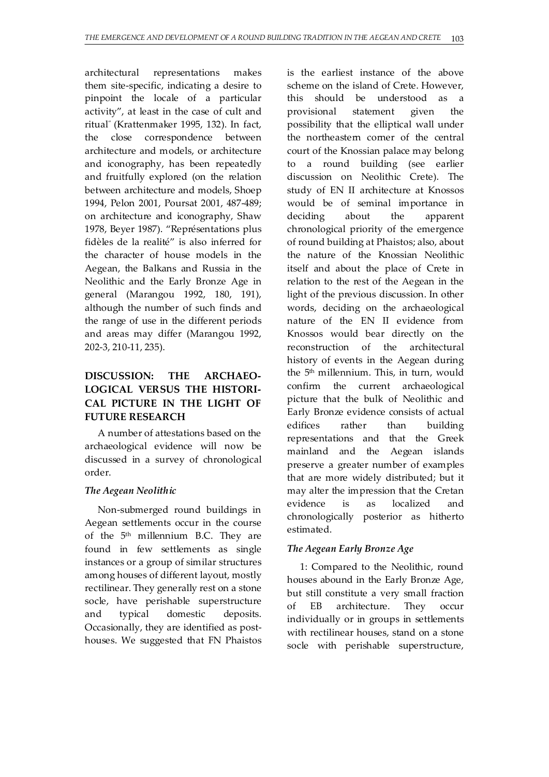architectural representations makes them site-specific, indicating a desire to pinpoint the locale of a particular activity", at least in the case of cult and ritual" (Krattenmaker 1995, 132). In fact, the close correspondence between architecture and models, or architecture and iconography, has been repeatedly and fruitfully explored (on the relation between architecture and models, Shoep 1994, Pelon 2001, Poursat 2001, 487-489; on architecture and iconography, Shaw 1978, Beyer 1987). "Représentations plus fidèles de la realité" is also inferred for the character of house models in the Aegean, the Balkans and Russia in the Neolithic and the Early Bronze Age in general (Marangou 1992, 180, 191), although the number of such finds and the range of use in the different periods and areas may differ (Marangou 1992, 202-3, 210-11, 235).

# **DISCUSSION: THE ARCHAEO-LOGICAL VERSUS THE HISTORI-CAL PICTURE IN THE LIGHT OF FUTURE RESEARCH**

A number of attestations based on the archaeological evidence will now be discussed in a survey of chronological order.

# *The Aegean Neolithic*

Non-submerged round buildings in Aegean settlements occur in the course of the 5th millennium B.C. They are found in few settlements as single instances or a group of similar structures among houses of different layout, mostly rectilinear. They generally rest on a stone socle, have perishable superstructure and typical domestic deposits. Occasionally, they are identified as posthouses. We suggested that FN Phaistos is the earliest instance of the above scheme on the island of Crete. However, this should be understood as a provisional statement given the possibility that the elliptical wall under the northeastern corner of the central court of the Knossian palace may belong to a round building (see earlier discussion on Neolithic Crete). The study of EN II architecture at Knossos would be of seminal importance in deciding about the apparent chronological priority of the emergence of round building at Phaistos; also, about the nature of the Knossian Neolithic itself and about the place of Crete in relation to the rest of the Aegean in the light of the previous discussion. In other words, deciding on the archaeological nature of the EN II evidence from Knossos would bear directly on the reconstruction of the architectural history of events in the Aegean during the 5th millennium. This, in turn, would confirm the current archaeological picture that the bulk of Neolithic and Early Bronze evidence consists of actual edifices rather than building representations and that the Greek mainland and the Aegean islands preserve a greater number of examples that are more widely distributed; but it may alter the impression that the Cretan evidence is as localized and chronologically posterior as hitherto estimated.

# *The Aegean Early Bronze Age*

1: Compared to the Neolithic, round houses abound in the Early Bronze Age, but still constitute a very small fraction of EB architecture. They occur individually or in groups in settlements with rectilinear houses, stand on a stone socle with perishable superstructure,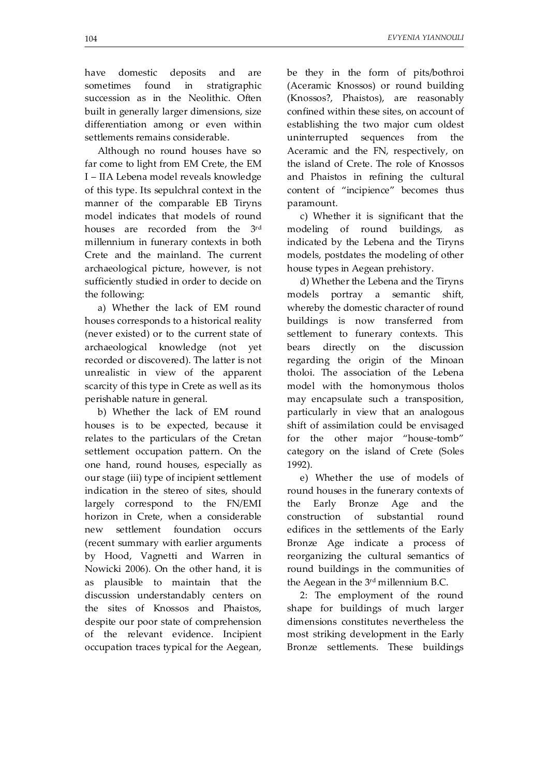have domestic deposits and are sometimes found in stratigraphic succession as in the Neolithic. Often built in generally larger dimensions, size differentiation among or even within settlements remains considerable.

Although no round houses have so far come to light from EM Crete, the EM I – IIA Lebena model reveals knowledge of this type. Its sepulchral context in the manner of the comparable EB Tiryns model indicates that models of round houses are recorded from the 3rd millennium in funerary contexts in both Crete and the mainland. The current archaeological picture, however, is not sufficiently studied in order to decide on the following:

a) Whether the lack of EM round houses corresponds to a historical reality (never existed) or to the current state of archaeological knowledge (not yet recorded or discovered). The latter is not unrealistic in view of the apparent scarcity of this type in Crete as well as its perishable nature in general.

b) Whether the lack of EM round houses is to be expected, because it relates to the particulars of the Cretan settlement occupation pattern. On the one hand, round houses, especially as our stage (iii) type of incipient settlement indication in the stereo of sites, should largely correspond to the FN/EMI horizon in Crete, when a considerable new settlement foundation occurs (recent summary with earlier arguments by Hood, Vagnetti and Warren in Nowicki 2006). On the other hand, it is as plausible to maintain that the discussion understandably centers on the sites of Knossos and Phaistos, despite our poor state of comprehension of the relevant evidence. Incipient occupation traces typical for the Aegean,

be they in the form of pits/bothroi (Aceramic Knossos) or round building (Knossos?, Phaistos), are reasonably confined within these sites, on account of establishing the two major cum oldest uninterrupted sequences from the Aceramic and the FN, respectively, on the island of Crete. The role of Knossos and Phaistos in refining the cultural content of "incipience" becomes thus paramount.

c) Whether it is significant that the modeling of round buildings, as indicated by the Lebena and the Tiryns models, postdates the modeling of other house types in Aegean prehistory.

d) Whether the Lebena and the Tiryns models portray a semantic shift, whereby the domestic character of round buildings is now transferred from settlement to funerary contexts. This bears directly on the discussion regarding the origin of the Minoan tholoi. The association of the Lebena model with the homonymous tholos may encapsulate such a transposition, particularly in view that an analogous shift of assimilation could be envisaged for the other major "house-tomb" category on the island of Crete (Soles 1992).

e) Whether the use of models of round houses in the funerary contexts of the Early Bronze Age and the construction of substantial round edifices in the settlements of the Early Bronze Age indicate a process of reorganizing the cultural semantics of round buildings in the communities of the Aegean in the 3<sup>rd</sup> millennium B.C.

2: The employment of the round shape for buildings of much larger dimensions constitutes nevertheless the most striking development in the Early Bronze settlements. These buildings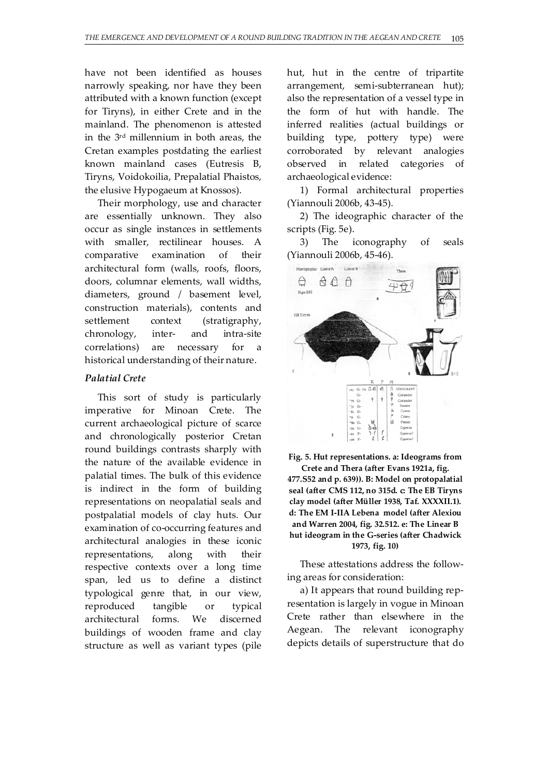have not been identified as houses narrowly speaking, nor have they been attributed with a known function (except for Tiryns), in either Crete and in the mainland. The phenomenon is attested in the 3rd millennium in both areas, the Cretan examples postdating the earliest known mainland cases (Eutresis B, Tiryns, Voidokoilia, Prepalatial Phaistos, the elusive Hypogaeum at Knossos).

Their morphology, use and character are essentially unknown. They also occur as single instances in settlements with smaller, rectilinear houses. A comparative examination of their architectural form (walls, roofs, floors, doors, columnar elements, wall widths, diameters, ground / basement level, construction materials), contents and settlement context (stratigraphy, chronology, inter- and intra-site correlations) are necessary for a historical understanding of their nature.

#### *Palatial Crete*

This sort of study is particularly imperative for Minoan Crete. The current archaeological picture of scarce and chronologically posterior Cretan round buildings contrasts sharply with the nature of the available evidence in palatial times. The bulk of this evidence is indirect in the form of building representations on neopalatial seals and postpalatial models of clay huts. Our examination of co-occurring features and architectural analogies in these iconic representations, along with their respective contexts over a long time span, led us to define a distinct typological genre that, in our view, reproduced tangible or typical architectural forms. We discerned buildings of wooden frame and clay structure as well as variant types (pile hut, hut in the centre of tripartite arrangement, semi-subterranean hut); also the representation of a vessel type in the form of hut with handle. The inferred realities (actual buildings or building type, pottery type) were corroborated by relevant analogies observed in related categories of archaeological evidence:

1) Formal architectural properties (Yiannouli 2006b, 43-45).

2) The ideographic character of the scripts (Fig. 5e).

3) The iconography of seals (Yiannouli 2006b, 45-46).



**Fig. 5. Hut representations. a: Ideograms from Crete and Thera (after Evans 1921a, fig. 477.S52 and p. 639)). B: Model on protopalatial seal (after CMS 112, no 315d. c: The EB Tiryns clay model (after Müller 1938, Taf. XXXXII.1). d: The EM I-IIA Lebena model (after Alexiou and Warren 2004, fig. 32.512. e: The Linear B hut ideogram in the G-series (after Chadwick 1973, fig. 10)** 

These attestations address the following areas for consideration:

a) It appears that round building representation is largely in vogue in Minoan Crete rather than elsewhere in the Aegean. The relevant iconography depicts details of superstructure that do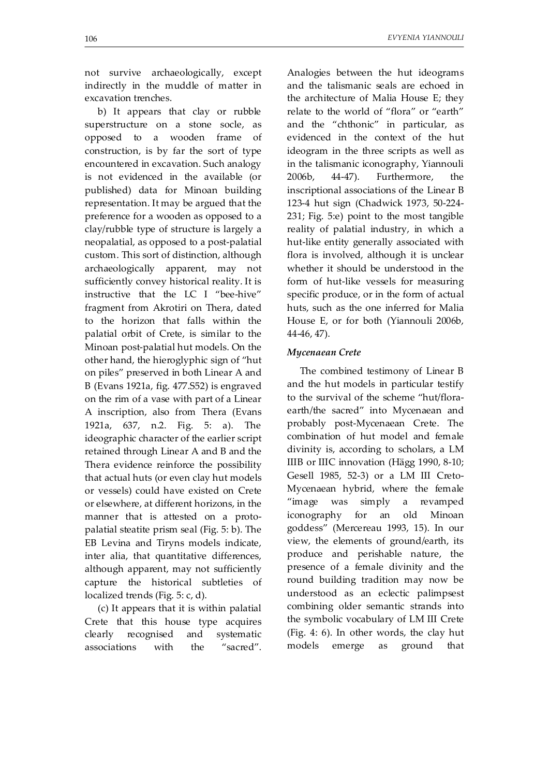not survive archaeologically, except indirectly in the muddle of matter in excavation trenches.

b) It appears that clay or rubble superstructure on a stone socle, as opposed to a wooden frame of construction, is by far the sort of type encountered in excavation. Such analogy is not evidenced in the available (or published) data for Minoan building representation. It may be argued that the preference for a wooden as opposed to a clay/rubble type of structure is largely a neopalatial, as opposed to a post-palatial custom. This sort of distinction, although archaeologically apparent, may not sufficiently convey historical reality. It is instructive that the LC I "bee-hive" fragment from Akrotiri on Thera, dated to the horizon that falls within the palatial orbit of Crete, is similar to the Minoan post-palatial hut models. On the other hand, the hieroglyphic sign of "hut on piles" preserved in both Linear A and B (Evans 1921a, fig. 477.S52) is engraved on the rim of a vase with part of a Linear A inscription, also from Thera (Evans 1921a, 637, n.2. Fig. 5: a). The ideographic character of the earlier script retained through Linear A and B and the Thera evidence reinforce the possibility that actual huts (or even clay hut models or vessels) could have existed on Crete or elsewhere, at different horizons, in the manner that is attested on a protopalatial steatite prism seal (Fig. 5: b). The EB Levina and Tiryns models indicate, inter alia, that quantitative differences, although apparent, may not sufficiently capture the historical subtleties of localized trends (Fig. 5: c, d).

(c) It appears that it is within palatial Crete that this house type acquires clearly recognised and systematic associations with the "sacred".

Analogies between the hut ideograms and the talismanic seals are echoed in the architecture of Malia House E; they relate to the world of "flora" or "earth" and the "chthonic" in particular, as evidenced in the context of the hut ideogram in the three scripts as well as in the talismanic iconography, Yiannouli 2006b, 44-47). Furthermore, the inscriptional associations of the Linear B 123-4 hut sign (Chadwick 1973, 50-224- 231; Fig. 5:e) point to the most tangible reality of palatial industry, in which a hut-like entity generally associated with flora is involved, although it is unclear whether it should be understood in the form of hut-like vessels for measuring specific produce, or in the form of actual huts, such as the one inferred for Malia House E, or for both (Yiannouli 2006b, 44-46, 47).

#### *Mycenaean Crete*

The combined testimony of Linear B and the hut models in particular testify to the survival of the scheme "hut/floraearth/the sacred" into Mycenaean and probably post-Mycenaean Crete. The combination of hut model and female divinity is, according to scholars, a LM IIIB or IIIC innovation (Hägg 1990, 8-10; Gesell 1985, 52-3) or a LM III Creto-Mycenaean hybrid, where the female "image was simply a revamped iconography for an old Minoan goddess" (Mercereau 1993, 15). In our view, the elements of ground/earth, its produce and perishable nature, the presence of a female divinity and the round building tradition may now be understood as an eclectic palimpsest combining older semantic strands into the symbolic vocabulary of LM III Crete (Fig. 4: 6). In other words, the clay hut models emerge as ground that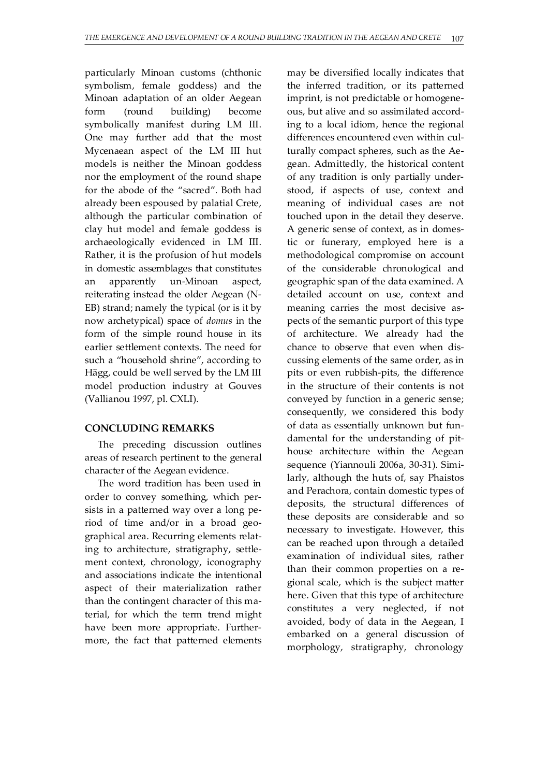particularly Minoan customs (chthonic symbolism, female goddess) and the Minoan adaptation of an older Aegean form (round building) become symbolically manifest during LM III. One may further add that the most Mycenaean aspect of the LM III hut models is neither the Minoan goddess nor the employment of the round shape for the abode of the "sacred". Both had already been espoused by palatial Crete, although the particular combination of clay hut model and female goddess is archaeologically evidenced in LM III. Rather, it is the profusion of hut models in domestic assemblages that constitutes an apparently un-Minoan aspect, reiterating instead the older Aegean (N-EB) strand; namely the typical (or is it by now archetypical) space of *domus* in the form of the simple round house in its earlier settlement contexts. The need for such a "household shrine", according to Hägg, could be well served by the LM III model production industry at Gouves (Vallianou 1997, pl. CXLI).

#### **CONCLUDING REMARKS**

The preceding discussion outlines areas of research pertinent to the general character of the Aegean evidence.

The word tradition has been used in order to convey something, which persists in a patterned way over a long period of time and/or in a broad geographical area. Recurring elements relating to architecture, stratigraphy, settlement context, chronology, iconography and associations indicate the intentional aspect of their materialization rather than the contingent character of this material, for which the term trend might have been more appropriate. Furthermore, the fact that patterned elements may be diversified locally indicates that the inferred tradition, or its patterned imprint, is not predictable or homogeneous, but alive and so assimilated according to a local idiom, hence the regional differences encountered even within culturally compact spheres, such as the Aegean. Admittedly, the historical content of any tradition is only partially understood, if aspects of use, context and meaning of individual cases are not touched upon in the detail they deserve. A generic sense of context, as in domestic or funerary, employed here is a methodological compromise on account of the considerable chronological and geographic span of the data examined. A detailed account on use, context and meaning carries the most decisive aspects of the semantic purport of this type of architecture. We already had the chance to observe that even when discussing elements of the same order, as in pits or even rubbish-pits, the difference in the structure of their contents is not conveyed by function in a generic sense; consequently, we considered this body of data as essentially unknown but fundamental for the understanding of pithouse architecture within the Aegean sequence (Yiannouli 2006a, 30-31). Similarly, although the huts of, say Phaistos and Perachora, contain domestic types of deposits, the structural differences of these deposits are considerable and so necessary to investigate. However, this can be reached upon through a detailed examination of individual sites, rather than their common properties on a regional scale, which is the subject matter here. Given that this type of architecture constitutes a very neglected, if not avoided, body of data in the Aegean, I embarked on a general discussion of morphology, stratigraphy, chronology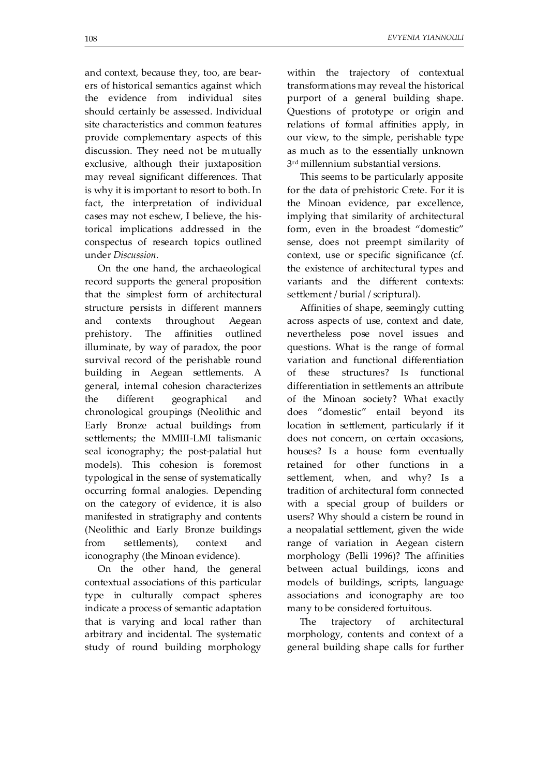and context, because they, too, are bearers of historical semantics against which the evidence from individual sites should certainly be assessed. Individual site characteristics and common features provide complementary aspects of this discussion. They need not be mutually exclusive, although their juxtaposition may reveal significant differences. That is why it is important to resort to both. In fact, the interpretation of individual cases may not eschew, I believe, the historical implications addressed in the conspectus of research topics outlined under *Discussion*.

On the one hand, the archaeological record supports the general proposition that the simplest form of architectural structure persists in different manners and contexts throughout Aegean prehistory. The affinities outlined illuminate, by way of paradox, the poor survival record of the perishable round building in Aegean settlements. A general, internal cohesion characterizes the different geographical and chronological groupings (Neolithic and Early Bronze actual buildings from settlements; the MMIII-LMI talismanic seal iconography; the post-palatial hut models). This cohesion is foremost typological in the sense of systematically occurring formal analogies. Depending on the category of evidence, it is also manifested in stratigraphy and contents (Neolithic and Early Bronze buildings from settlements), context and iconography (the Minoan evidence).

On the other hand, the general contextual associations of this particular type in culturally compact spheres indicate a process of semantic adaptation that is varying and local rather than arbitrary and incidental. The systematic study of round building morphology

within the trajectory of contextual transformations may reveal the historical purport of a general building shape. Questions of prototype or origin and relations of formal affinities apply, in our view, to the simple, perishable type as much as to the essentially unknown 3rd millennium substantial versions.

This seems to be particularly apposite for the data of prehistoric Crete. For it is the Minoan evidence, par excellence, implying that similarity of architectural form, even in the broadest "domestic" sense, does not preempt similarity of context, use or specific significance (cf. the existence of architectural types and variants and the different contexts: settlement / burial / scriptural).

Affinities of shape, seemingly cutting across aspects of use, context and date, nevertheless pose novel issues and questions. What is the range of formal variation and functional differentiation of these structures? Is functional differentiation in settlements an attribute of the Minoan society? What exactly does "domestic" entail beyond its location in settlement, particularly if it does not concern, on certain occasions, houses? Is a house form eventually retained for other functions in a settlement, when, and why? Is a tradition of architectural form connected with a special group of builders or users? Why should a cistern be round in a neopalatial settlement, given the wide range of variation in Aegean cistern morphology (Belli 1996)? The affinities between actual buildings, icons and models of buildings, scripts, language associations and iconography are too many to be considered fortuitous.

The trajectory of architectural morphology, contents and context of a general building shape calls for further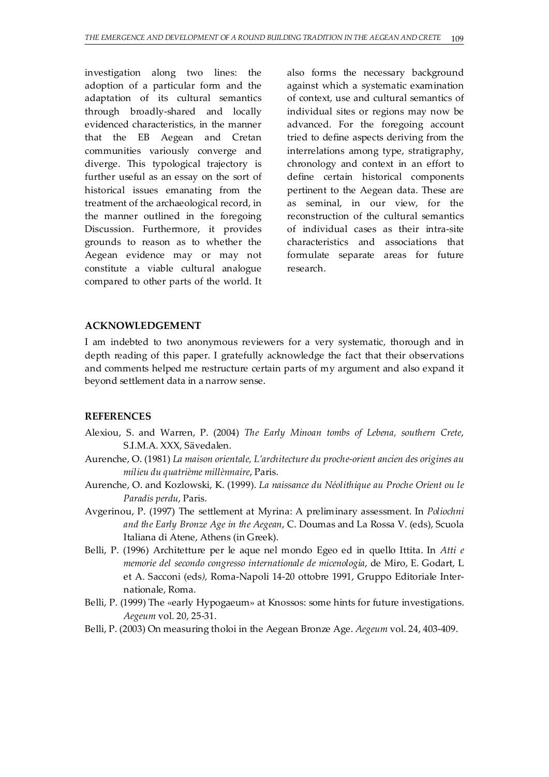investigation along two lines: the adoption of a particular form and the adaptation of its cultural semantics through broadly-shared and locally evidenced characteristics, in the manner that the EB Aegean and Cretan communities variously converge and diverge. This typological trajectory is further useful as an essay on the sort of historical issues emanating from the treatment of the archaeological record, in the manner outlined in the foregoing Discussion. Furthermore, it provides grounds to reason as to whether the Aegean evidence may or may not constitute a viable cultural analogue compared to other parts of the world. It

also forms the necessary background against which a systematic examination of context, use and cultural semantics of individual sites or regions may now be advanced. For the foregoing account tried to define aspects deriving from the interrelations among type, stratigraphy, chronology and context in an effort to define certain historical components pertinent to the Aegean data. These are as seminal, in our view, for the reconstruction of the cultural semantics of individual cases as their intra-site characteristics and associations that formulate separate areas for future research.

#### **ACKNOWLEDGEMENT**

I am indebted to two anonymous reviewers for a very systematic, thorough and in depth reading of this paper. I gratefully acknowledge the fact that their observations and comments helped me restructure certain parts of my argument and also expand it beyond settlement data in a narrow sense.

#### **REFERENCES**

- Alexiou, S. and Warren, P. (2004) *The Early Minoan tombs of Lebena, southern Crete*, S.I.M.A. XXX, Sävedalen.
- Aurenche, O. (1981) *La maison orientale, L'architecture du proche-orient ancien des origines au milieu du quatrième millènnaire*, Paris.
- Aurenche, O. and Kozlowski, K. (1999). *La naissance du Néolithique au Proche Orient ou le Paradis perdu*, Paris.
- Avgerinou, P. (1997) The settlement at Myrina: A preliminary assessment. In *Poliochni and the Early Bronze Age in the Aegean*, C. Doumas and La Rossa V. (eds), Scuola Italiana di Atene, Athens (in Greek).
- Belli, P. (1996) Architetture per le aque nel mondo Egeo ed in quello Ittita. In *Atti e memorie del secondo congresso internationale de micenologia*, de Miro, E. Godart, L et A. Sacconi (eds*),* Roma-Napoli 14-20 ottobre 1991, Gruppo Editoriale Internationale, Roma.
- Belli, P. (1999) The «early Hypogaeum» at Knossos: some hints for future investigations. *Aegeum* vol. 20, 25-31.
- Belli, P. (2003) On measuring tholoi in the Aegean Bronze Age. *Aegeum* vol. 24, 403-409.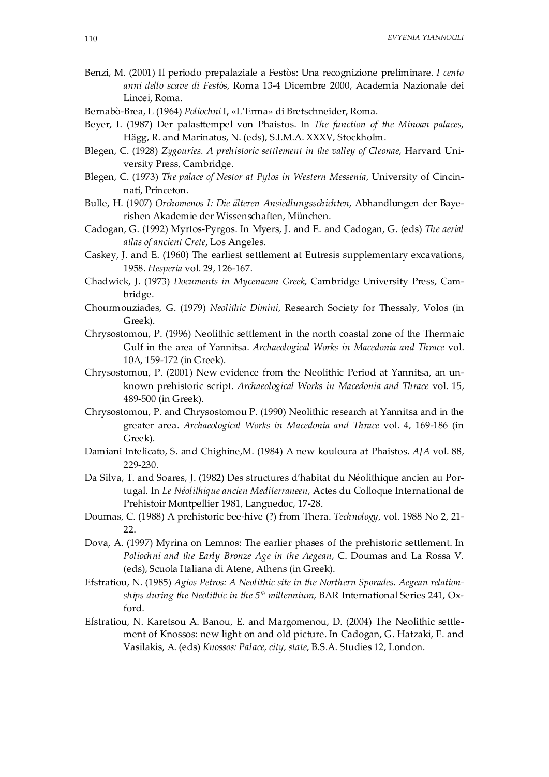- Benzi, M. (2001) Il periodo prepalaziale a Festòs: Una recognizione preliminare. *I cento anni dello scave di Festòs*, Roma 13-4 Dicembre 2000, Academia Nazionale dei Lincei, Roma.
- Bernabò-Brea, L (1964) *Poliochni* I, «L'Erma» di Bretschneider, Roma.
- Beyer, I. (1987) Der palasttempel von Phaistos. In *The function of the Minoan palaces*, Hägg, R. and Marinatos, N. (eds), S.I.M.A. XXXV, Stockholm.
- Blegen, C. (1928) *Zygouries. A prehistoric settlement in the valley of Cleonae*, Harvard University Press, Cambridge.
- Blegen, C. (1973) *The palace of Nestor at Pylos in Western Messenia*, University of Cincinnati, Princeton.
- Bulle, H. (1907) *Orchomenos I: Die älteren Ansiedlungsschichten*, Abhandlungen der Bayerishen Akademie der Wissenschaften, München.
- Cadogan, G. (1992) Myrtos-Pyrgos. In Myers, J. and E. and Cadogan, G. (eds) *The aerial atlas of ancient Crete*, Los Angeles.
- Caskey, J. and E. (1960) The earliest settlement at Eutresis supplementary excavations, 1958. *Hesperia* vol. 29, 126-167.
- Chadwick, J. (1973) *Documents in Mycenaean Greek*, Cambridge University Press, Cambridge.
- Chourmouziades, G. (1979) *Neolithic Dimini*, Research Society for Thessaly, Volos (in Greek).
- Chrysostomou, P. (1996) Neolithic settlement in the north coastal zone of the Thermaic Gulf in the area of Yannitsa. *Archaeological Works in Macedonia and Thrace* vol. 10Α, 159-172 (in Greek).
- Chrysostomou, P. (2001) New evidence from the Neolithic Period at Yannitsa, an unknown prehistoric script. *Archaeological Works in Macedonia and Thrace* vol. 15, 489-500 (in Greek).
- Chrysostomou, P. and Chrysostomou P. (1990) Neolithic research at Yannitsa and in the greater area. *Archaeological Works in Macedonia and Thrace* vol. 4, 169-186 (in Greek).
- Damiani Intelicato, S. and Chighine,M. (1984) A new kouloura at Phaistos. *AJA* vol. 88, 229-230.
- Da Silva, T. and Soares, J. (1982) Des structures d'habitat du Néolithique ancien au Portugal. In *Le Néolithique ancien Mediterraneen*, Actes du Colloque International de Prehistoir Montpellier 1981, Languedoc, 17-28.
- Doumas, C. (1988) A prehistoric bee-hive (?) from Thera. *Technology*, vol. 1988 No 2, 21- 22.
- Dova, A. (1997) Myrina on Lemnos: The earlier phases of the prehistoric settlement. In *Poliochni and the Early Bronze Age in the Aegean*, C. Doumas and La Rossa V. (eds), Scuola Italiana di Atene, Αthens (in Greek).
- Efstratiou, N. (1985) *Agios Petros: A Neolithic site in the Northern Sporades. Aegean relationships during the Neolithic in the 5th millennium*, BAR International Series 241, Oxford.
- Efstratiou, N. Karetsou A. Banou, E. and Margomenou, D. (2004) The Neolithic settlement of Knossos: new light on and old picture. In Cadogan, G. Hatzaki, E. and Vasilakis, Α. (eds) *Knossos: Palace, city, state*, B.S.A. Studies 12, London.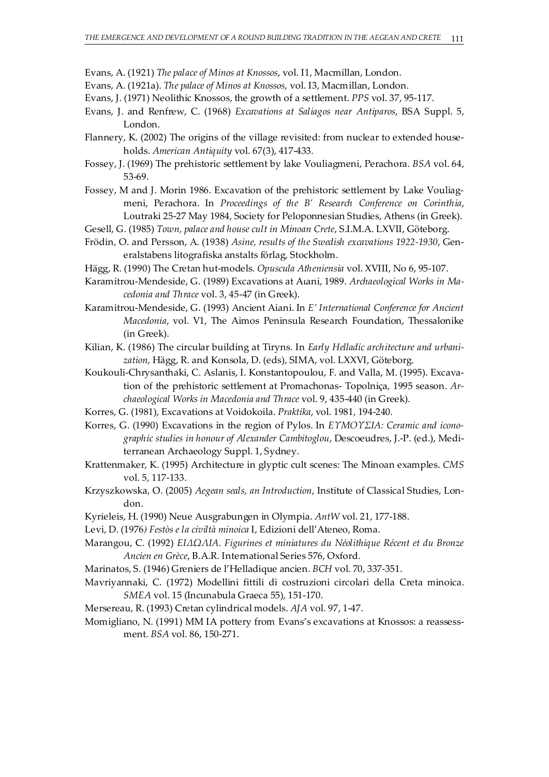- Evans, A. (1921) *The palace of Minos at Knossos*, vol. I1, Macmillan, London.
- Evans, A. (1921a). *The palace of Minos at Knossos*, vol. I3, Macmillan, London.
- Evans, J. (1971) Neolithic Knossos, the growth of a settlement. *PPS* vol. 37, 95-117.
- Evans, J. and Renfrew, C. (1968) *Excavations at Saliagos near Antiparos*, BSA Suppl. 5, London.
- Flannery, K. (2002) The origins of the village revisited: from nuclear to extended households. *American Antiquity* vol. 67(3), 417-433.
- Fossey, J. (1969) The prehistoric settlement by lake Vouliagmeni, Perachora. *BSA* vol. 64, 53-69.
- Fossey, M and J. Morin 1986. Excavation of the prehistoric settlement by Lake Vouliagmeni, Perachora. In *Proceedings of the B' Research Conference on Corinthia*, Loutraki 25-27 May 1984, Society for Peloponnesian Studies, Athens (in Greek).
- Gesell, G. (1985) *Town, palace and house cult in Minoan Crete*, S.I.M.A. LXVII, Göteborg.
- Frödin, O. and Persson, Α. (1938) *Asine, results of the Swedish excavations 1922-1930*, Generalstabens litografiska anstalts förlag, Stockholm.
- Hägg, R. (1990) The Cretan hut-models. *Opuscula Atheniensia* vol. XVIII, Νο 6, 95-107.
- Karamitrou-Mendeside, G. (1989) Excavations at Aιani, 1989. *Archaeological Works in Macedonia and Thrace* vol. 3, 45-47 (in Greek).
- Karamitrou-Mendeside, G. (1993) Αncient Aiani. In *E' International Conference for Ancient Macedonia*, vol. V1, The Aimos Peninsula Research Foundation, Thessalonike (in Greek).
- Kilian, K. (1986) The circular building at Tiryns. In *Early Helladic architecture and urbanization,* Hägg, R. and Konsola, D. (eds), SIMA, vol. LXXVI, Göteborg.
- Koukouli-Chrysanthaki, C. Aslanis, I. Konstantopoulou, F. and Valla, M. (1995). Excavation of the prehistoric settlement at Promachonas- Topolniça, 1995 season. *Archaeological Works in Macedonia and Thrace* vol. 9, 435-440 (in Greek).
- Korres, G. (1981), Excavations at Voidokoila. *Praktika*, vol. 1981, 194-240.
- Korres, G. (1990) Excavations in the region of Pylos. In *EΥΜΟΥΣΙΑ: Ceramic and iconographic studies in honour of Alexander Cambitoglou*, Descoeudres, J.-P. (ed.), Mediterranean Archaeology Suppl. 1, Sydney.
- Krattenmaker, K. (1995) Architecture in glyptic cult scenes: The Minoan examples. *CMS* vol. 5, 117-133.
- Krzyszkowska, O. (2005) *Aegean seals, an Introduction*, Institute of Classical Studies, London.
- Kyrieleis, H. (1990) Neue Ausgrabungen in Olympia. *AntW* vol. 21, 177-188.
- Levi, D. (1976*) Festòs e la civiltà minoica* I, Edizioni dell'Ateneo, Roma.
- Marangou, C. (1992) *ΕΙΔΩΛΙΑ. Figurines et miniatures du Néolithique Récent et du Bronze Ancien en Grèce*, B.A.R. International Series 576, Oxford.
- Marinatos, S. (1946) Greniers de l'Helladique ancien. *BCH* vol. 70, 337-351.
- Mavriyannaki, C. (1972) Modellini fittili di costruzioni circolari della Creta minoica. *SMEA* vol. 15 (Incunabula Graeca 55), 151-170.
- Mersereau, R. (1993) Cretan cylindrical models. *AJA* vol. 97, 1-47.
- Momigliano, N. (1991) MM IA pottery from Evans's excavations at Knossos: a reassessment. *BSA* vol. 86, 150-271.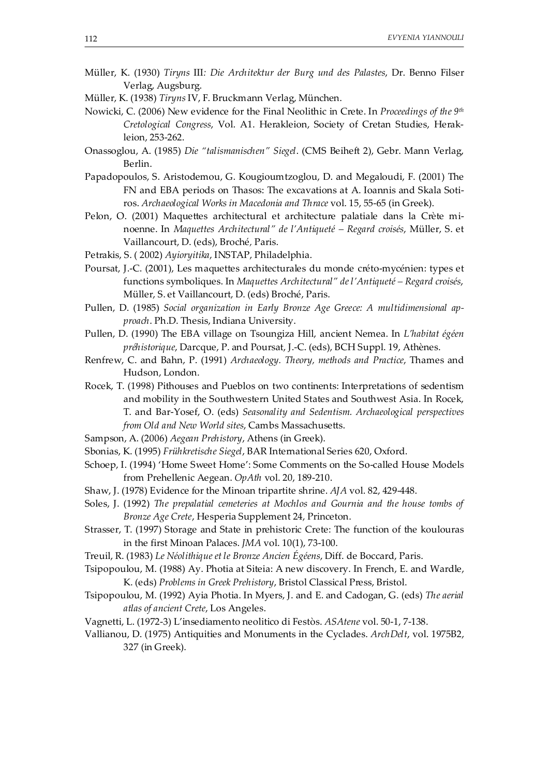- Müller, K. (1930) *Tiryns* III*: Die Architektur der Burg und des Palastes*, Dr. Benno Filser Verlag, Augsburg.
- Müller, K. (1938) *Tiryns* IV, F. Bruckmann Verlag, München.
- Nowicki, C. (2006) New evidence for the Final Neolithic in Crete. In *Proceedings of the 9th Cretological Congress*, Vol. A1. Herakleion, Society of Cretan Studies, Herakleion, 253-262.
- Onassoglou, A. (1985) *Die "talismanischen" Siegel*. (CMS Beiheft 2), Gebr. Mann Verlag, Berlin.
- Papadopoulos, S. Aristodemou, G. Kougioumtzoglou, D. and Megaloudi, F. (2001) The FN and EBA periods on Thasos: The excavations at A. Ioannis and Skala Sotiros. *Archaeological Works in Macedonia and Thrace* vol. 15, 55-65 (in Greek).
- Pelon, O. (2001) Maquettes architectural et architecture palatiale dans la Crète minoenne. In *Maquettes Architectural" de l'Antiqueté – Regard croisés*, Müller, S. et Vaillancourt, D. (eds), Broché*,* Paris.
- Petrakis, S. ( 2002) *Ayioryitika*, INSTAP, Philadelphia.
- Poursat, J.-C. (2001), Les maquettes architecturales du monde créto-mycénien: types et functions symboliques. In *Maquettes Architectural" de l'Antiqueté – Regard croisés*, Müller, S. et Vaillancourt, D. (eds) Broché, Paris.
- Pullen, D. (1985) *Social organization in Early Bronze Age Greece: A multidimensional approach*. Ph.D. Thesis, Indiana University.
- Pullen, D. (1990) The EBA village on Tsoungiza Hill, ancient Nemea. In *L'habitat égéen préhistorique*, Darcque, P. and Poursat, J.-C. (eds), BCH Suppl. 19, Athènes.
- Renfrew, C. and Bahn, P. (1991) *Archaeology. Theory, methods and Practice*, Thames and Hudson, London.
- Rocek, T. (1998) Pithouses and Pueblos on two continents: Interpretations of sedentism and mobility in the Southwestern United States and Southwest Asia. In Rocek, T. and Bar-Yosef, O. (eds) *Seasonality and Sedentism. Archaeological perspectives from Old and New World sites*, Cambs Massachusetts.
- Sampson, A. (2006) *Aegean Prehistory*, Athens (in Greek).
- Sbonias, K. (1995) *Frühkretische Siegel*, BAR International Series 620, Oxford.
- Schoep, I. (1994) 'Home Sweet Home': Some Comments on the So-called House Models from Prehellenic Aegean. *OpAth* vol. 20, 189-210.
- Shaw, J. (1978) Evidence for the Minoan tripartite shrine. *AJA* vol. 82, 429-448.
- Soles, J. (1992) *The prepalatial cemeteries at Mochlos and Gournia and the house tombs of Bronze Age Crete*, Hesperia Supplement 24, Princeton.
- Strasser, T. (1997) Storage and State in prehistoric Crete: The function of the koulouras in the first Minoan Palaces. *JMA* vol. 10(1), 73-100.
- Treuil, R. (1983) *Le Néolithique et le Bronze Ancien Égéens*, Diff. de Boccard, Paris.
- Tsipopoulou, M. (1988) Ay. Photia at Siteia: A new discovery. In French, E. and Wardle, K. (eds) *Problems in Greek Prehistory*, Bristol Classical Press, Bristol.
- Tsipopoulou, M. (1992) Ayia Photia. In Myers, J. and E. and Cadogan, G. (eds) *The aerial atlas of ancient Crete*, Los Angeles.
- Vagnetti, L. (1972-3) L'insediamento neolitico di Festòs. *ASAtene* vol. 50-1, 7-138.
- Vallianou, D. (1975) Antiquities and Monuments in the Cyclades. *ArchDelt*, vol. 1975B2, 327 (in Greek).